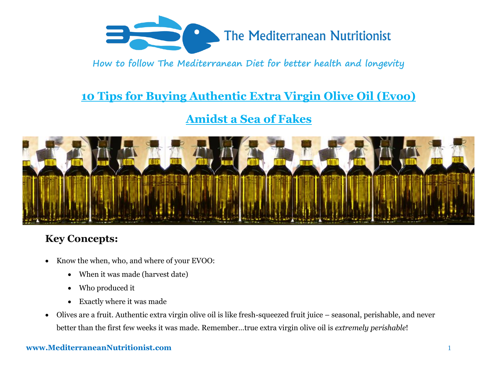

# **10 Tips for Buying Authentic Extra Virgin Olive Oil (Evoo)**

## **Amidst a Sea of Fakes**



## **Key Concepts:**

- Know the when, who, and where of your EVOO:
	- When it was made (harvest date)
	- Who produced it
	- Exactly where it was made
- Olives are a fruit. Authentic extra virgin olive oil is like fresh-squeezed fruit juice seasonal, perishable, and never better than the first few weeks it was made. Remember…true extra virgin olive oil is *extremely perishable*!

### **www.MediterraneanNutritionist.com** 1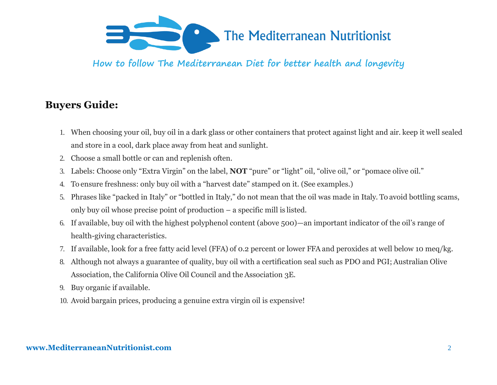

### **Buyers Guide:**

- 1. When choosing your oil, buy oil in a dark glass or other containers that protect against light and air. keep it well sealed and store in a cool, dark place away from heat and sunlight.
- 2. Choose a small bottle or can and replenish often.
- 3. Labels: Choose only "Extra Virgin" on the label, **NOT** "pure" or "light" oil, "olive oil," or "pomace olive oil."
- 4. To ensure freshness: only buy oil with a "harvest date" stamped on it. (See examples.)
- 5. Phrases like "packed in Italy" or "bottled in Italy," do not mean that the oil was made in Italy. To avoid bottling scams, only buy oil whose precise point of production – a specific mill is listed.
- 6. If available, buy oil with the highest polyphenol content (above 500)—an important indicator of the oil's range of health-giving characteristics.
- 7. If available, look for a free fatty acid level (FFA) of 0.2 percent or lower FFA and peroxides at well below 10 meq/kg.
- 8. Although not always a guarantee of quality, buy oil with a certification seal such as PDO and PGI; Australian Olive Association, the California Olive Oil Council and the Association 3E.
- 9. Buy organic if available.
- 10. Avoid bargain prices, producing a genuine extra virgin oil is expensive!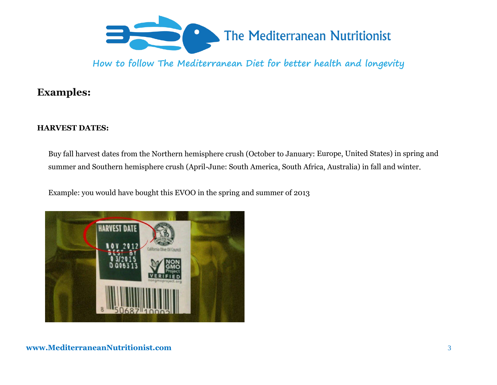

### **Examples:**

### **HARVEST DATES:**

Buy fall harvest dates from the Northern hemisphere crush (October to January: Europe, United States) in spring and summer and Southern hemisphere crush (April-June: South America, South Africa, Australia) in fall and winter.

Example: you would have bought this EVOO in the spring and summer of 2013